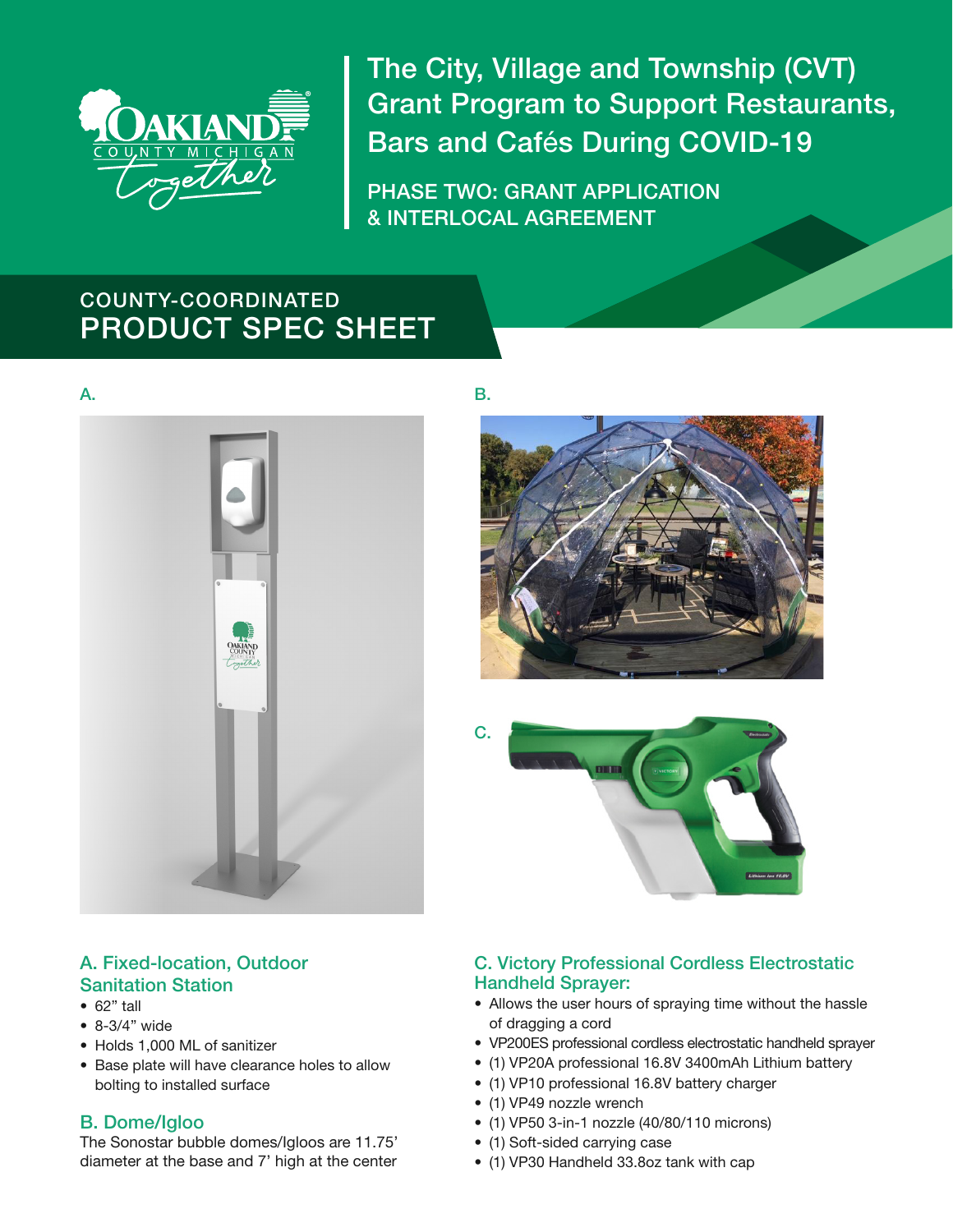

The City, Village and Township (CVT) Grant Program to Support Restaurants, Bars and Cafés During COVID-19

PHASE TWO: GRANT APPLICATION & INTERLOCAL AGREEMENT

# COUNTY-COORDINATED PRODUCT SPEC SHEET





B.



C.

## A. Fixed-location, Outdoor Sanitation Station

- 62" tall
- 8-3/4" wide
- Holds 1,000 ML of sanitizer
- Base plate will have clearance holes to allow bolting to installed surface

# B. Dome/Igloo

The Sonostar bubble domes/Igloos are 11.75' diameter at the base and 7' high at the center

## C. Victory Professional Cordless Electrostatic Handheld Sprayer:

- Allows the user hours of spraying time without the hassle of dragging a cord
- VP200ES professional cordless electrostatic handheld sprayer
- (1) VP20A professional 16.8V 3400mAh Lithium battery
- (1) VP10 professional 16.8V battery charger
- (1) VP49 nozzle wrench
- (1) VP50 3-in-1 nozzle (40/80/110 microns)
- (1) Soft-sided carrying case
- (1) VP30 Handheld 33.8oz tank with cap